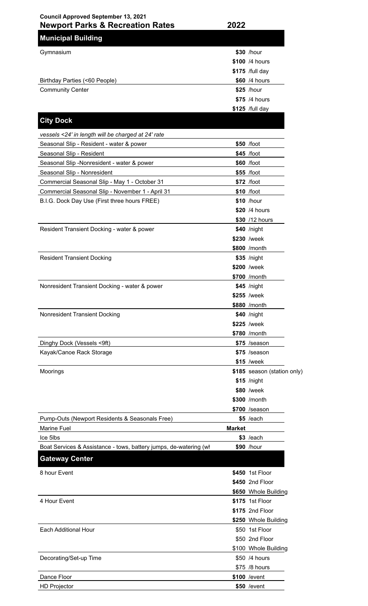| <b>Council Approved September 13, 2021</b>                        |               |                               |
|-------------------------------------------------------------------|---------------|-------------------------------|
| <b>Newport Parks &amp; Recreation Rates</b>                       | 2022          |                               |
| <b>Municipal Building</b>                                         |               |                               |
| Gymnasium                                                         |               | \$30 /hour                    |
|                                                                   |               | \$100 /4 hours                |
|                                                                   |               | \$175 /full day               |
| Birthday Parties (<60 People)                                     |               | \$60 /4 hours                 |
| <b>Community Center</b>                                           |               | $$25$ /hour                   |
|                                                                   |               | \$75 /4 hours                 |
|                                                                   |               | \$125 /full day               |
| <b>City Dock</b>                                                  |               |                               |
| vessels <24' in length will be charged at 24' rate                |               |                               |
| Seasonal Slip - Resident - water & power                          |               | \$50 /foot                    |
| Seasonal Slip - Resident                                          |               | $$45$ /foot                   |
| Seasonal Slip -Nonresident - water & power                        |               | \$60 /foot                    |
| Seasonal Slip - Nonresident                                       |               | \$55 /foot                    |
| Commercial Seasonal Slip - May 1 - October 31                     |               | \$72 /foot                    |
| Commercial Seasonal Slip - November 1 - April 31                  |               | \$10 /foot                    |
| B.I.G. Dock Day Use (First three hours FREE)                      |               | \$10 /hour                    |
|                                                                   |               | \$20 /4 hours                 |
|                                                                   |               | \$30 /12 hours                |
| Resident Transient Docking - water & power                        |               | \$40 /night                   |
|                                                                   |               | \$230 /week                   |
|                                                                   |               | \$800 /month                  |
| <b>Resident Transient Docking</b>                                 |               | \$35 /night                   |
|                                                                   |               | \$200 /week                   |
|                                                                   |               | \$700 /month                  |
| Nonresident Transient Docking - water & power                     |               | \$45 /night                   |
|                                                                   |               | \$255 /week                   |
|                                                                   |               | \$880 /month                  |
| Nonresident Transient Docking                                     |               | \$40 /night                   |
|                                                                   |               | \$225 /week                   |
|                                                                   |               | \$780 /month                  |
| Dinghy Dock (Vessels <9ft)                                        |               | \$75 /season                  |
| Kayak/Canoe Rack Storage                                          |               | \$75 /season                  |
|                                                                   |               | \$15 /week                    |
| Moorings                                                          |               | \$185 season (station only)   |
|                                                                   |               | $$15$ /night                  |
|                                                                   |               | \$80 /week                    |
|                                                                   |               | \$300 /month                  |
|                                                                   |               | \$700 /season                 |
| Pump-Outs (Newport Residents & Seasonals Free)                    |               | $$5$ /each                    |
| <b>Marine Fuel</b><br>Ice 5lbs                                    | <b>Market</b> | $$3$ /each                    |
| Boat Services & Assistance - tows, battery jumps, de-watering (wh |               | \$90 /hour                    |
|                                                                   |               |                               |
| <b>Gateway Center</b>                                             |               |                               |
| 8 hour Event                                                      |               | \$450 1st Floor               |
|                                                                   |               | \$450 2nd Floor               |
|                                                                   |               | \$650 Whole Building          |
| 4 Hour Event                                                      |               | \$175 1st Floor               |
|                                                                   |               | \$175 2nd Floor               |
|                                                                   |               | \$250 Whole Building          |
| <b>Each Additional Hour</b>                                       |               | \$50 1st Floor                |
|                                                                   |               | \$50 2nd Floor                |
|                                                                   |               | \$100 Whole Building          |
| Decorating/Set-up Time                                            |               | \$50 /4 hours                 |
| Dance Floor                                                       |               | \$75 /8 hours<br>\$100 /event |
|                                                                   |               |                               |

HD Projector **\$50** /event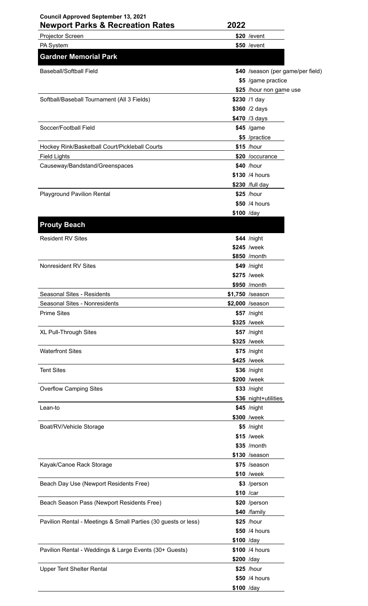## **Council Approved September 13, 2021**

| <b>Newport Parks &amp; Recreation Rates</b> | 2022                              |  |
|---------------------------------------------|-----------------------------------|--|
| <b>Projector Screen</b>                     | $$20$ /event                      |  |
| <b>PA System</b>                            | \$50 / event                      |  |
| <b>Gardner Memorial Park</b>                |                                   |  |
| Baseball/Softball Field                     | \$40 /season (per game/per field) |  |

| Dascialli Sulinali Ticiu                                       |             | <b>P-0</b> <i>is</i> casuli (pci yamc/pci lic |
|----------------------------------------------------------------|-------------|-----------------------------------------------|
|                                                                |             | \$5 /game practice                            |
|                                                                |             | \$25 /hour non game use                       |
| Softball/Baseball Tournament (All 3 Fields)                    |             | \$230 /1 day                                  |
|                                                                |             | \$360 /2 days                                 |
|                                                                |             | \$470 /3 days                                 |
| Soccer/Football Field                                          |             | \$45 /game                                    |
|                                                                |             | \$5 /practice                                 |
| Hockey Rink/Basketball Court/Pickleball Courts                 |             | \$15 /hour                                    |
| <b>Field Lights</b>                                            |             | \$20 /occurance                               |
| Causeway/Bandstand/Greenspaces                                 |             | \$40 /hour                                    |
|                                                                |             | \$130 /4 hours                                |
|                                                                |             | \$230 /full day                               |
| <b>Playground Pavilion Rental</b>                              |             | \$25 /hour                                    |
|                                                                |             | \$50 /4 hours                                 |
|                                                                | $$100$ /day |                                               |
|                                                                |             |                                               |
| <b>Prouty Beach</b>                                            |             |                                               |
| <b>Resident RV Sites</b>                                       |             | $$44$ /night                                  |
|                                                                |             | \$245 /week                                   |
|                                                                |             | \$850 /month                                  |
| Nonresident RV Sites                                           |             | \$49 /night                                   |
|                                                                |             | \$275 /week                                   |
|                                                                |             | \$950 /month                                  |
| Seasonal Sites - Residents                                     |             | \$1,750 /season                               |
| Seasonal Sites - Nonresidents                                  |             | \$2,000 /season                               |
| <b>Prime Sites</b>                                             |             | \$57 /night                                   |
|                                                                |             | \$325 /week                                   |
| XL Pull-Through Sites                                          |             | \$57 /night                                   |
|                                                                |             | \$325 /week                                   |
| <b>Waterfront Sites</b>                                        |             | \$75 /night                                   |
|                                                                |             | \$425 /week                                   |
| <b>Tent Sites</b>                                              |             | \$36 /night                                   |
|                                                                |             | \$200 /week                                   |
| <b>Overflow Camping Sites</b>                                  |             | \$33 /night                                   |
|                                                                |             | \$36 night+utilities                          |
| Lean-to                                                        |             | $$45$ /night                                  |
|                                                                |             | \$300 /week                                   |
| Boat/RV/Vehicle Storage                                        |             | \$5 /night                                    |
|                                                                |             | \$15 /week                                    |
|                                                                |             | \$35 /month                                   |
|                                                                |             |                                               |
|                                                                |             | \$130 /season                                 |
| Kayak/Canoe Rack Storage                                       |             | \$75 /season                                  |
|                                                                |             | \$10 /week                                    |
| Beach Day Use (Newport Residents Free)                         |             | \$3 /person                                   |
|                                                                |             | \$10 /car                                     |
| Beach Season Pass (Newport Residents Free)                     |             | \$20 /person                                  |
|                                                                |             | \$40 /family                                  |
| Pavilion Rental - Meetings & Small Parties (30 guests or less) |             | \$25 /hour                                    |
|                                                                |             | \$50 /4 hours                                 |
|                                                                | \$100 /day  |                                               |
| Pavilion Rental - Weddings & Large Events (30+ Guests)         |             | \$100 /4 hours                                |
|                                                                | \$200 /day  |                                               |
| <b>Upper Tent Shelter Rental</b>                               |             | \$25 /hour                                    |
|                                                                |             | \$50 /4 hours                                 |

**\$100** /day

 $\overline{\phantom{0}}$